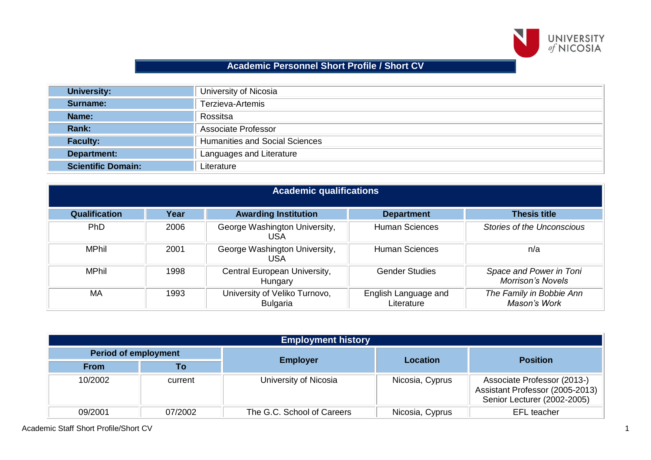

## **Academic Personnel Short Profile / Short CV**

| <b>University:</b>        | University of Nicosia                 |  |
|---------------------------|---------------------------------------|--|
| Surname:                  | Terzieva-Artemis                      |  |
| Name:                     | Rossitsa                              |  |
| Rank:                     | Associate Professor                   |  |
| <b>Faculty:</b>           | <b>Humanities and Social Sciences</b> |  |
| <b>Department:</b>        | Languages and Literature              |  |
| <b>Scientific Domain:</b> | Literature                            |  |

| <b>Academic qualifications</b> |      |                                                  |                                    |                                                     |  |
|--------------------------------|------|--------------------------------------------------|------------------------------------|-----------------------------------------------------|--|
| <b>Qualification</b>           | Year | <b>Awarding Institution</b>                      | <b>Department</b>                  | <b>Thesis title</b>                                 |  |
| <b>PhD</b>                     | 2006 | George Washington University,<br>USA             | <b>Human Sciences</b>              | <b>Stories of the Unconscious</b>                   |  |
| <b>MPhil</b>                   | 2001 | George Washington University,<br>USA             | <b>Human Sciences</b>              | n/a                                                 |  |
| <b>MPhil</b>                   | 1998 | Central European University,<br>Hungary          | <b>Gender Studies</b>              | Space and Power in Toni<br><b>Morrison's Novels</b> |  |
| <b>MA</b>                      | 1993 | University of Veliko Turnovo,<br><b>Bulgaria</b> | English Language and<br>Literature | The Family in Bobbie Ann<br>Mason's Work            |  |

| <b>Employment history</b>   |         |                            |                 |                                                                                               |  |
|-----------------------------|---------|----------------------------|-----------------|-----------------------------------------------------------------------------------------------|--|
| <b>Period of employment</b> |         |                            | Location        |                                                                                               |  |
| <b>From</b>                 | Τo      | <b>Employer</b>            |                 | <b>Position</b>                                                                               |  |
| 10/2002                     | current | University of Nicosia      | Nicosia, Cyprus | Associate Professor (2013-)<br>Assistant Professor (2005-2013)<br>Senior Lecturer (2002-2005) |  |
| 09/2001                     | 07/2002 | The G.C. School of Careers | Nicosia, Cyprus | <b>EFL</b> teacher                                                                            |  |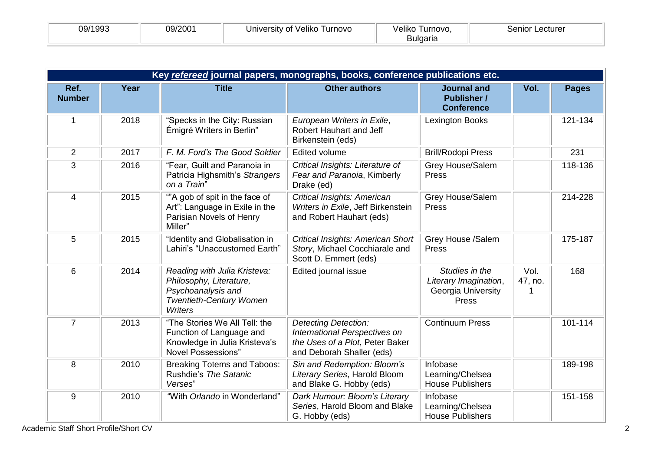| 09/1993<br>09/2001<br>University of Veliko Turnovo | Veliko Turnovo,<br>Bulgaria | Senior Lecturer |
|----------------------------------------------------|-----------------------------|-----------------|
|----------------------------------------------------|-----------------------------|-----------------|

|                       | Key refereed journal papers, monographs, books, conference publications etc. |                                                                                                                                   |                                                                                                                              |                                                                        |                 |              |  |
|-----------------------|------------------------------------------------------------------------------|-----------------------------------------------------------------------------------------------------------------------------------|------------------------------------------------------------------------------------------------------------------------------|------------------------------------------------------------------------|-----------------|--------------|--|
| Ref.<br><b>Number</b> | Year                                                                         | <b>Title</b>                                                                                                                      | <b>Other authors</b>                                                                                                         | <b>Journal and</b><br><b>Publisher /</b><br><b>Conference</b>          | Vol.            | <b>Pages</b> |  |
|                       | 2018                                                                         | "Specks in the City: Russian<br>Émigré Writers in Berlin"                                                                         | European Writers in Exile,<br>Robert Hauhart and Jeff<br>Birkenstein (eds)                                                   | Lexington Books                                                        |                 | 121-134      |  |
| $\overline{2}$        | 2017                                                                         | F. M. Ford's The Good Soldier                                                                                                     | <b>Edited volume</b>                                                                                                         | <b>Brill/Rodopi Press</b>                                              |                 | 231          |  |
| 3                     | 2016                                                                         | "Fear, Guilt and Paranoia in<br>Patricia Highsmith's Strangers<br>on a Train"                                                     | Critical Insights: Literature of<br>Fear and Paranoia, Kimberly<br>Drake (ed)                                                | Grey House/Salem<br>Press                                              |                 | 118-136      |  |
| $\overline{4}$        | 2015                                                                         | ""A gob of spit in the face of<br>Art": Language in Exile in the<br>Parisian Novels of Henry<br>Miller"                           | Critical Insights: American<br>Writers in Exile, Jeff Birkenstein<br>and Robert Hauhart (eds)                                | Grey House/Salem<br>Press                                              |                 | 214-228      |  |
| 5                     | 2015                                                                         | "Identity and Globalisation in<br>Lahiri's "Unaccustomed Earth"                                                                   | Critical Insights: American Short<br>Story, Michael Cocchiarale and<br>Scott D. Emmert (eds)                                 | Grey House /Salem<br>Press                                             |                 | 175-187      |  |
| 6                     | 2014                                                                         | Reading with Julia Kristeva:<br>Philosophy, Literature,<br>Psychoanalysis and<br><b>Twentieth-Century Women</b><br><b>Writers</b> | <b>Edited journal issue</b>                                                                                                  | Studies in the<br>Literary Imagination,<br>Georgia University<br>Press | Vol.<br>47, no. | 168          |  |
| $\overline{7}$        | 2013                                                                         | "The Stories We All Tell: the<br>Function of Language and<br>Knowledge in Julia Kristeva's<br><b>Novel Possessions"</b>           | <b>Detecting Detection:</b><br>International Perspectives on<br>the Uses of a Plot, Peter Baker<br>and Deborah Shaller (eds) | <b>Continuum Press</b>                                                 |                 | 101-114      |  |
| 8                     | 2010                                                                         | <b>Breaking Totems and Taboos:</b><br>Rushdie's The Satanic<br>Verses"                                                            | Sin and Redemption: Bloom's<br>Literary Series, Harold Bloom<br>and Blake G. Hobby (eds)                                     | Infobase<br>Learning/Chelsea<br><b>House Publishers</b>                |                 | 189-198      |  |
| 9                     | 2010                                                                         | "With Orlando in Wonderland"                                                                                                      | Dark Humour: Bloom's Literary<br>Series, Harold Bloom and Blake<br>G. Hobby (eds)                                            | Infobase<br>Learning/Chelsea<br><b>House Publishers</b>                |                 | 151-158      |  |